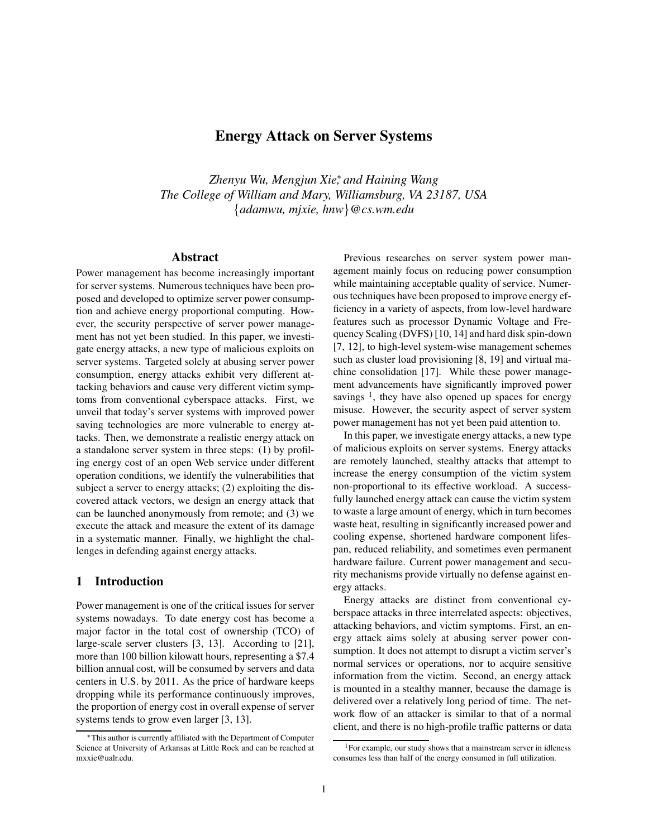# Energy Attack on Server Systems

*Zhenyu Wu, Mengjun Xie*<sup>∗</sup> *, and Haining Wang The College of William and Mary, Williamsburg, VA 23187, USA* {*adamwu, mjxie, hnw*}*@cs.wm.edu*

## Abstract

Power management has become increasingly important for server systems. Numerous techniques have been proposed and developed to optimize server power consumption and achieve energy proportional computing. However, the security perspective of server power management has not yet been studied. In this paper, we investigate energy attacks, a new type of malicious exploits on server systems. Targeted solely at abusing server power consumption, energy attacks exhibit very different attacking behaviors and cause very different victim symptoms from conventional cyberspace attacks. First, we unveil that today's server systems with improved power saving technologies are more vulnerable to energy attacks. Then, we demonstrate a realistic energy attack on a standalone server system in three steps: (1) by profiling energy cost of an open Web service under different operation conditions, we identify the vulnerabilities that subject a server to energy attacks; (2) exploiting the discovered attack vectors, we design an energy attack that can be launched anonymously from remote; and (3) we execute the attack and measure the extent of its damage in a systematic manner. Finally, we highlight the challenges in defending against energy attacks.

## 1 Introduction

Power management is one of the critical issues for server systems nowadays. To date energy cost has become a major factor in the total cost of ownership (TCO) of large-scale server clusters [3, 13]. According to [21], more than 100 billion kilowatt hours, representing a \$7.4 billion annual cost, will be consumed by servers and data centers in U.S. by 2011. As the price of hardware keeps dropping while its performance continuously improves, the proportion of energy cost in overall expense of server systems tends to grow even larger [3, 13].

Previous researches on server system power management mainly focus on reducing power consumption while maintaining acceptable quality of service. Numerous techniques have been proposed to improve energy efficiency in a variety of aspects, from low-level hardware features such as processor Dynamic Voltage and Frequency Scaling (DVFS) [10, 14] and hard disk spin-down [7, 12], to high-level system-wise management schemes such as cluster load provisioning [8, 19] and virtual machine consolidation [17]. While these power management advancements have significantly improved power savings  $<sup>1</sup>$ , they have also opened up spaces for energy</sup> misuse. However, the security aspect of server system power management has not yet been paid attention to.

In this paper, we investigate energy attacks, a new type of malicious exploits on server systems. Energy attacks are remotely launched, stealthy attacks that attempt to increase the energy consumption of the victim system non-proportional to its effective workload. A successfully launched energy attack can cause the victim system to waste a large amount of energy, which in turn becomes waste heat, resulting in significantly increased power and cooling expense, shortened hardware component lifespan, reduced reliability, and sometimes even permanent hardware failure. Current power management and security mechanisms provide virtually no defense against energy attacks.

Energy attacks are distinct from conventional cyberspace attacks in three interrelated aspects: objectives, attacking behaviors, and victim symptoms. First, an energy attack aims solely at abusing server power consumption. It does not attempt to disrupt a victim server's normal services or operations, nor to acquire sensitive information from the victim. Second, an energy attack is mounted in a stealthy manner, because the damage is delivered over a relatively long period of time. The network flow of an attacker is similar to that of a normal client, and there is no high-profile traffic patterns or data

<sup>∗</sup>This author is currently affiliated with the Department of Computer Science at University of Arkansas at Little Rock and can be reached at mxxie@ualr.edu.

 $1$ For example, our study shows that a mainstream server in idleness consumes less than half of the energy consumed in full utilization.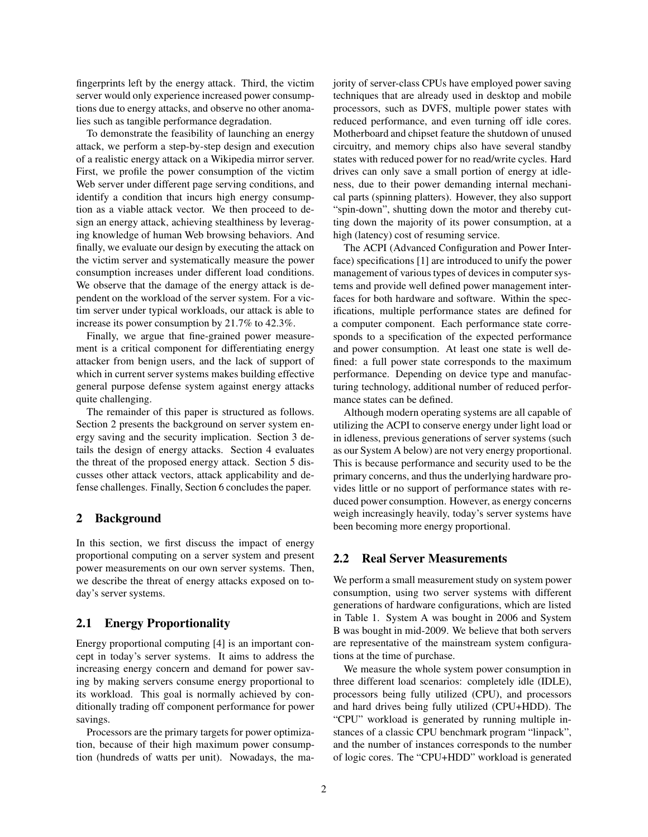fingerprints left by the energy attack. Third, the victim server would only experience increased power consumptions due to energy attacks, and observe no other anomalies such as tangible performance degradation.

To demonstrate the feasibility of launching an energy attack, we perform a step-by-step design and execution of a realistic energy attack on a Wikipedia mirror server. First, we profile the power consumption of the victim Web server under different page serving conditions, and identify a condition that incurs high energy consumption as a viable attack vector. We then proceed to design an energy attack, achieving stealthiness by leveraging knowledge of human Web browsing behaviors. And finally, we evaluate our design by executing the attack on the victim server and systematically measure the power consumption increases under different load conditions. We observe that the damage of the energy attack is dependent on the workload of the server system. For a victim server under typical workloads, our attack is able to increase its power consumption by 21.7% to 42.3%.

Finally, we argue that fine-grained power measurement is a critical component for differentiating energy attacker from benign users, and the lack of support of which in current server systems makes building effective general purpose defense system against energy attacks quite challenging.

The remainder of this paper is structured as follows. Section 2 presents the background on server system energy saving and the security implication. Section 3 details the design of energy attacks. Section 4 evaluates the threat of the proposed energy attack. Section 5 discusses other attack vectors, attack applicability and defense challenges. Finally, Section 6 concludes the paper.

## 2 Background

In this section, we first discuss the impact of energy proportional computing on a server system and present power measurements on our own server systems. Then, we describe the threat of energy attacks exposed on today's server systems.

## 2.1 Energy Proportionality

Energy proportional computing [4] is an important concept in today's server systems. It aims to address the increasing energy concern and demand for power saving by making servers consume energy proportional to its workload. This goal is normally achieved by conditionally trading off component performance for power savings.

Processors are the primary targets for power optimization, because of their high maximum power consumption (hundreds of watts per unit). Nowadays, the majority of server-class CPUs have employed power saving techniques that are already used in desktop and mobile processors, such as DVFS, multiple power states with reduced performance, and even turning off idle cores. Motherboard and chipset feature the shutdown of unused circuitry, and memory chips also have several standby states with reduced power for no read/write cycles. Hard drives can only save a small portion of energy at idleness, due to their power demanding internal mechanical parts (spinning platters). However, they also support "spin-down", shutting down the motor and thereby cutting down the majority of its power consumption, at a high (latency) cost of resuming service.

The ACPI (Advanced Configuration and Power Interface) specifications [1] are introduced to unify the power management of various types of devices in computer systems and provide well defined power management interfaces for both hardware and software. Within the specifications, multiple performance states are defined for a computer component. Each performance state corresponds to a specification of the expected performance and power consumption. At least one state is well defined: a full power state corresponds to the maximum performance. Depending on device type and manufacturing technology, additional number of reduced performance states can be defined.

Although modern operating systems are all capable of utilizing the ACPI to conserve energy under light load or in idleness, previous generations of server systems (such as our System A below) are not very energy proportional. This is because performance and security used to be the primary concerns, and thus the underlying hardware provides little or no support of performance states with reduced power consumption. However, as energy concerns weigh increasingly heavily, today's server systems have been becoming more energy proportional.

#### 2.2 Real Server Measurements

We perform a small measurement study on system power consumption, using two server systems with different generations of hardware configurations, which are listed in Table 1. System A was bought in 2006 and System B was bought in mid-2009. We believe that both servers are representative of the mainstream system configurations at the time of purchase.

We measure the whole system power consumption in three different load scenarios: completely idle (IDLE), processors being fully utilized (CPU), and processors and hard drives being fully utilized (CPU+HDD). The "CPU" workload is generated by running multiple instances of a classic CPU benchmark program "linpack", and the number of instances corresponds to the number of logic cores. The "CPU+HDD" workload is generated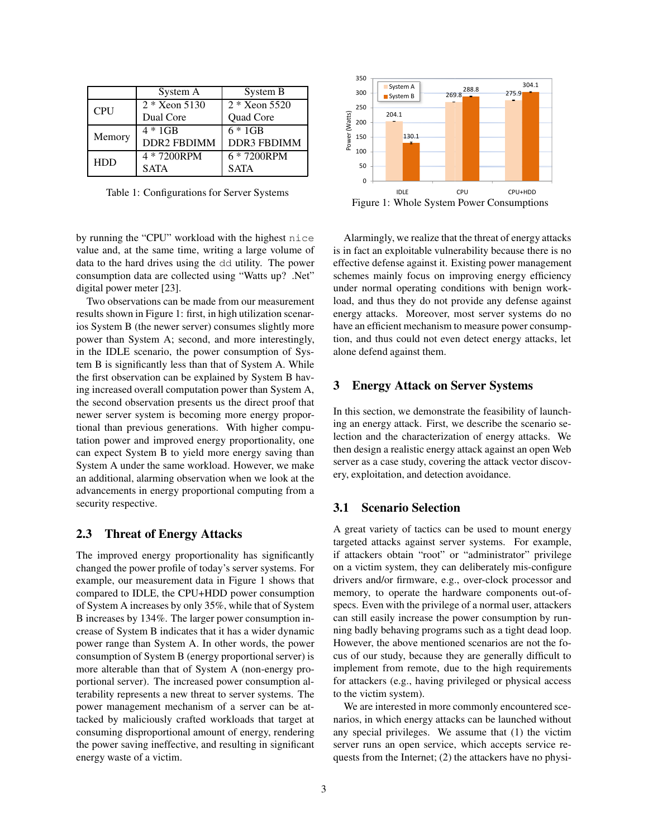|            | System A           | System B                 |  |  |  |
|------------|--------------------|--------------------------|--|--|--|
| <b>CPU</b> | $2 * X$ eon 5130   | $2 * Xe$ 3520            |  |  |  |
|            | Dual Core          | Quad Core                |  |  |  |
| Memory     | $4 * 1$ GB         | $6 * 1$ GB               |  |  |  |
|            | <b>DDR2 FBDIMM</b> | <b>DDR3 FBDIMM</b>       |  |  |  |
| <b>HDD</b> | 4 * 7200RPM        | $\overline{6}$ * 7200RPM |  |  |  |
|            | <b>SATA</b>        | <b>SATA</b>              |  |  |  |

Table 1: Configurations for Server Systems

by running the "CPU" workload with the highest nice value and, at the same time, writing a large volume of data to the hard drives using the dd utility. The power consumption data are collected using "Watts up? .Net" digital power meter [23].

Two observations can be made from our measurement results shown in Figure 1: first, in high utilization scenarios System B (the newer server) consumes slightly more power than System A; second, and more interestingly, in the IDLE scenario, the power consumption of System B is significantly less than that of System A. While the first observation can be explained by System B having increased overall computation power than System A, the second observation presents us the direct proof that newer server system is becoming more energy proportional than previous generations. With higher computation power and improved energy proportionality, one can expect System B to yield more energy saving than System A under the same workload. However, we make an additional, alarming observation when we look at the advancements in energy proportional computing from a security respective.

## 2.3 Threat of Energy Attacks

The improved energy proportionality has significantly changed the power profile of today's server systems. For example, our measurement data in Figure 1 shows that compared to IDLE, the CPU+HDD power consumption of System A increases by only 35%, while that of System B increases by 134%. The larger power consumption increase of System B indicates that it has a wider dynamic power range than System A. In other words, the power consumption of System B (energy proportional server) is more alterable than that of System A (non-energy proportional server). The increased power consumption alterability represents a new threat to server systems. The power management mechanism of a server can be attacked by maliciously crafted workloads that target at consuming disproportional amount of energy, rendering the power saving ineffective, and resulting in significant energy waste of a victim.



Alarmingly, we realize that the threat of energy attacks is in fact an exploitable vulnerability because there is no effective defense against it. Existing power management schemes mainly focus on improving energy efficiency under normal operating conditions with benign workload, and thus they do not provide any defense against energy attacks. Moreover, most server systems do no have an efficient mechanism to measure power consumption, and thus could not even detect energy attacks, let alone defend against them.

## 3 Energy Attack on Server Systems

In this section, we demonstrate the feasibility of launching an energy attack. First, we describe the scenario selection and the characterization of energy attacks. We then design a realistic energy attack against an open Web server as a case study, covering the attack vector discovery, exploitation, and detection avoidance.

#### 3.1 Scenario Selection

A great variety of tactics can be used to mount energy targeted attacks against server systems. For example, if attackers obtain "root" or "administrator" privilege on a victim system, they can deliberately mis-configure drivers and/or firmware, e.g., over-clock processor and memory, to operate the hardware components out-ofspecs. Even with the privilege of a normal user, attackers can still easily increase the power consumption by running badly behaving programs such as a tight dead loop. However, the above mentioned scenarios are not the focus of our study, because they are generally difficult to implement from remote, due to the high requirements for attackers (e.g., having privileged or physical access to the victim system).

We are interested in more commonly encountered scenarios, in which energy attacks can be launched without any special privileges. We assume that (1) the victim server runs an open service, which accepts service requests from the Internet; (2) the attackers have no physi-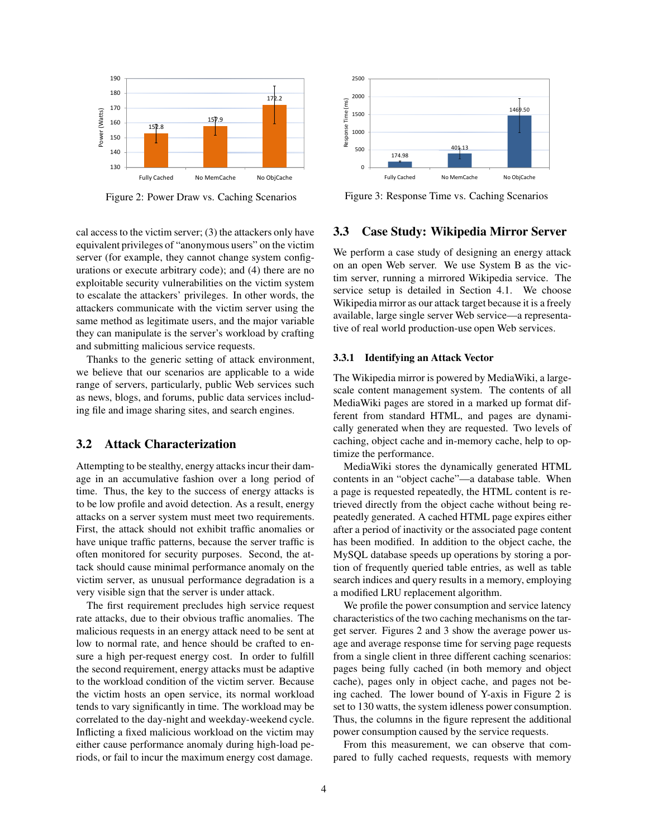

Figure 2: Power Draw vs. Caching Scenarios

cal access to the victim server; (3) the attackers only have equivalent privileges of "anonymous users" on the victim server (for example, they cannot change system configurations or execute arbitrary code); and (4) there are no exploitable security vulnerabilities on the victim system to escalate the attackers' privileges. In other words, the attackers communicate with the victim server using the same method as legitimate users, and the major variable they can manipulate is the server's workload by crafting and submitting malicious service requests.

Thanks to the generic setting of attack environment, we believe that our scenarios are applicable to a wide range of servers, particularly, public Web services such as news, blogs, and forums, public data services including file and image sharing sites, and search engines.

## 3.2 Attack Characterization

Attempting to be stealthy, energy attacks incur their damage in an accumulative fashion over a long period of time. Thus, the key to the success of energy attacks is to be low profile and avoid detection. As a result, energy attacks on a server system must meet two requirements. First, the attack should not exhibit traffic anomalies or have unique traffic patterns, because the server traffic is often monitored for security purposes. Second, the attack should cause minimal performance anomaly on the victim server, as unusual performance degradation is a very visible sign that the server is under attack.

The first requirement precludes high service request rate attacks, due to their obvious traffic anomalies. The malicious requests in an energy attack need to be sent at low to normal rate, and hence should be crafted to ensure a high per-request energy cost. In order to fulfill the second requirement, energy attacks must be adaptive to the workload condition of the victim server. Because the victim hosts an open service, its normal workload tends to vary significantly in time. The workload may be correlated to the day-night and weekday-weekend cycle. Inflicting a fixed malicious workload on the victim may either cause performance anomaly during high-load periods, or fail to incur the maximum energy cost damage.



Figure 3: Response Time vs. Caching Scenarios

#### 3.3 Case Study: Wikipedia Mirror Server

We perform a case study of designing an energy attack on an open Web server. We use System B as the victim server, running a mirrored Wikipedia service. The service setup is detailed in Section 4.1. We choose Wikipedia mirror as our attack target because it is a freely available, large single server Web service—a representative of real world production-use open Web services.

## 3.3.1 Identifying an Attack Vector

The Wikipedia mirror is powered by MediaWiki, a largescale content management system. The contents of all MediaWiki pages are stored in a marked up format different from standard HTML, and pages are dynamically generated when they are requested. Two levels of caching, object cache and in-memory cache, help to optimize the performance.

MediaWiki stores the dynamically generated HTML contents in an "object cache"—a database table. When a page is requested repeatedly, the HTML content is retrieved directly from the object cache without being repeatedly generated. A cached HTML page expires either after a period of inactivity or the associated page content has been modified. In addition to the object cache, the MySQL database speeds up operations by storing a portion of frequently queried table entries, as well as table search indices and query results in a memory, employing a modified LRU replacement algorithm.

We profile the power consumption and service latency characteristics of the two caching mechanisms on the target server. Figures 2 and 3 show the average power usage and average response time for serving page requests from a single client in three different caching scenarios: pages being fully cached (in both memory and object cache), pages only in object cache, and pages not being cached. The lower bound of Y-axis in Figure 2 is set to 130 watts, the system idleness power consumption. Thus, the columns in the figure represent the additional power consumption caused by the service requests.

From this measurement, we can observe that compared to fully cached requests, requests with memory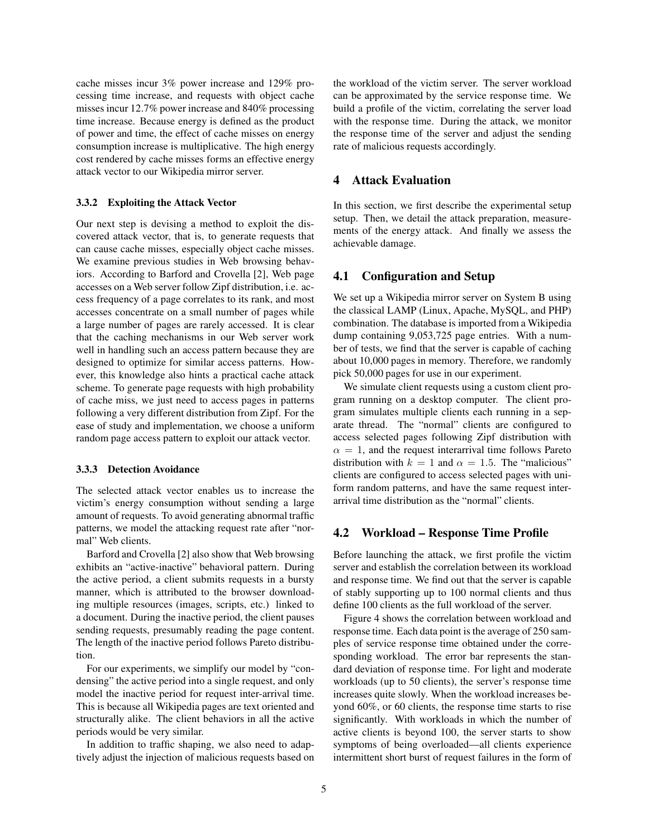cache misses incur 3% power increase and 129% processing time increase, and requests with object cache misses incur 12.7% power increase and 840% processing time increase. Because energy is defined as the product of power and time, the effect of cache misses on energy consumption increase is multiplicative. The high energy cost rendered by cache misses forms an effective energy attack vector to our Wikipedia mirror server.

#### 3.3.2 Exploiting the Attack Vector

Our next step is devising a method to exploit the discovered attack vector, that is, to generate requests that can cause cache misses, especially object cache misses. We examine previous studies in Web browsing behaviors. According to Barford and Crovella [2], Web page accesses on a Web server follow Zipf distribution, i.e. access frequency of a page correlates to its rank, and most accesses concentrate on a small number of pages while a large number of pages are rarely accessed. It is clear that the caching mechanisms in our Web server work well in handling such an access pattern because they are designed to optimize for similar access patterns. However, this knowledge also hints a practical cache attack scheme. To generate page requests with high probability of cache miss, we just need to access pages in patterns following a very different distribution from Zipf. For the ease of study and implementation, we choose a uniform random page access pattern to exploit our attack vector.

#### 3.3.3 Detection Avoidance

The selected attack vector enables us to increase the victim's energy consumption without sending a large amount of requests. To avoid generating abnormal traffic patterns, we model the attacking request rate after "normal" Web clients.

Barford and Crovella [2] also show that Web browsing exhibits an "active-inactive" behavioral pattern. During the active period, a client submits requests in a bursty manner, which is attributed to the browser downloading multiple resources (images, scripts, etc.) linked to a document. During the inactive period, the client pauses sending requests, presumably reading the page content. The length of the inactive period follows Pareto distribution.

For our experiments, we simplify our model by "condensing" the active period into a single request, and only model the inactive period for request inter-arrival time. This is because all Wikipedia pages are text oriented and structurally alike. The client behaviors in all the active periods would be very similar.

In addition to traffic shaping, we also need to adaptively adjust the injection of malicious requests based on the workload of the victim server. The server workload can be approximated by the service response time. We build a profile of the victim, correlating the server load with the response time. During the attack, we monitor the response time of the server and adjust the sending rate of malicious requests accordingly.

#### 4 Attack Evaluation

In this section, we first describe the experimental setup setup. Then, we detail the attack preparation, measurements of the energy attack. And finally we assess the achievable damage.

#### 4.1 Configuration and Setup

We set up a Wikipedia mirror server on System B using the classical LAMP (Linux, Apache, MySQL, and PHP) combination. The database is imported from a Wikipedia dump containing 9,053,725 page entries. With a number of tests, we find that the server is capable of caching about 10,000 pages in memory. Therefore, we randomly pick 50,000 pages for use in our experiment.

We simulate client requests using a custom client program running on a desktop computer. The client program simulates multiple clients each running in a separate thread. The "normal" clients are configured to access selected pages following Zipf distribution with  $\alpha = 1$ , and the request interarrival time follows Pareto distribution with  $k = 1$  and  $\alpha = 1.5$ . The "malicious" clients are configured to access selected pages with uniform random patterns, and have the same request interarrival time distribution as the "normal" clients.

## 4.2 Workload – Response Time Profile

Before launching the attack, we first profile the victim server and establish the correlation between its workload and response time. We find out that the server is capable of stably supporting up to 100 normal clients and thus define 100 clients as the full workload of the server.

Figure 4 shows the correlation between workload and response time. Each data point is the average of 250 samples of service response time obtained under the corresponding workload. The error bar represents the standard deviation of response time. For light and moderate workloads (up to 50 clients), the server's response time increases quite slowly. When the workload increases beyond 60%, or 60 clients, the response time starts to rise significantly. With workloads in which the number of active clients is beyond 100, the server starts to show symptoms of being overloaded—all clients experience intermittent short burst of request failures in the form of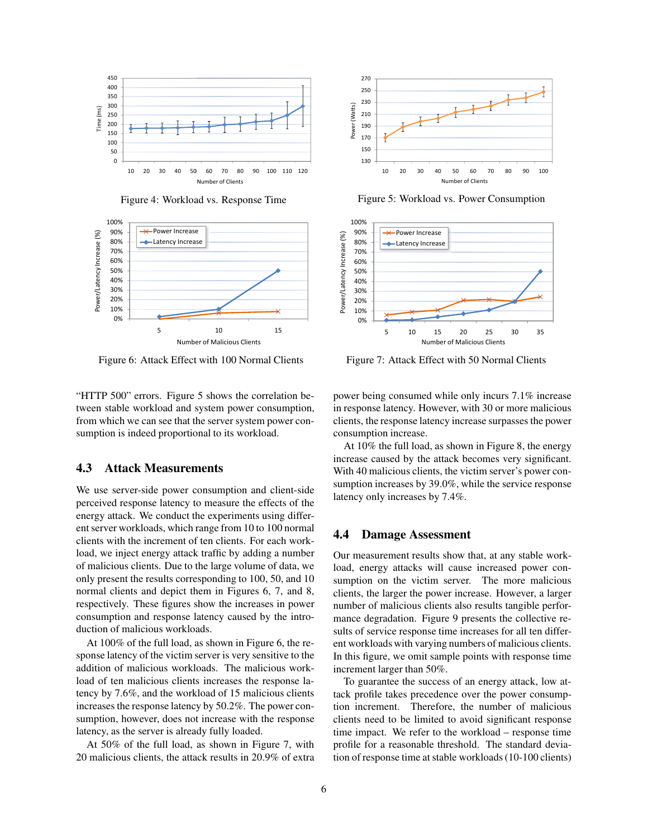

Figure 4: Workload vs. Response Time



Figure 6: Attack Effect with 100 Normal Clients Figure 7: Attack Ef

"HTTP 500" errors. Figure 5 shows the correlation between stable workload and system power consumption, from which we can see that the server system power consumption is indeed proportional to its workload.

#### 4.3 Attack Measurements

We use server-side power consumption and client-side perceived response latency to measure the effects of the energy attack. We conduct the experiments using different server workloads, which range from 10 to 100 normal clients with the increment of ten clients. For each workload, we inject energy attack traffic by adding a number of malicious clients. Due to the large volume of data, we only present the results corresponding to 100, 50, and 10 normal clients and depict them in Figures 6, 7, and 8, respectively. These figures show the increases in power consumption and response latency caused by the introduction of malicious workloads.

At 100% of the full load, as shown in Figure 6, the response latency of the victim server is very sensitive to the addition of malicious workloads. The malicious workload of ten malicious clients increases the response latency by 7.6%, and the workload of 15 malicious clients increases the response latency by 50.2%. The power consumption, however, does not increase with the response latency, as the server is already fully loaded.

At 50% of the full load, as shown in Figure 7, with 20 malicious clients, the attack results in 20.9% of extra



Figure 5: Workload vs. Power Consumption



Figure 7: Attack Effect with 50 Normal Clients

power being consumed while only incurs 7.1% increase in response latency. However, with 30 or more malicious clients, the response latency increase surpasses the power consumption increase.

At 10% the full load, as shown in Figure 8, the energy increase caused by the attack becomes very significant. With 40 malicious clients, the victim server's power consumption increases by 39.0%, while the service response latency only increases by 7.4%.

#### 4.4 Damage Assessment

Our measurement results show that, at any stable workload, energy attacks will cause increased power consumption on the victim server. The more malicious clients, the larger the power increase. However, a larger number of malicious clients also results tangible performance degradation. Figure 9 presents the collective results of service response time increases for all ten different workloads with varying numbers of malicious clients. In this figure, we omit sample points with response time increment larger than 50%.

To guarantee the success of an energy attack, low attack profile takes precedence over the power consumption increment. Therefore, the number of malicious clients need to be limited to avoid significant response time impact. We refer to the workload – response time profile for a reasonable threshold. The standard deviation of response time at stable workloads (10-100 clients)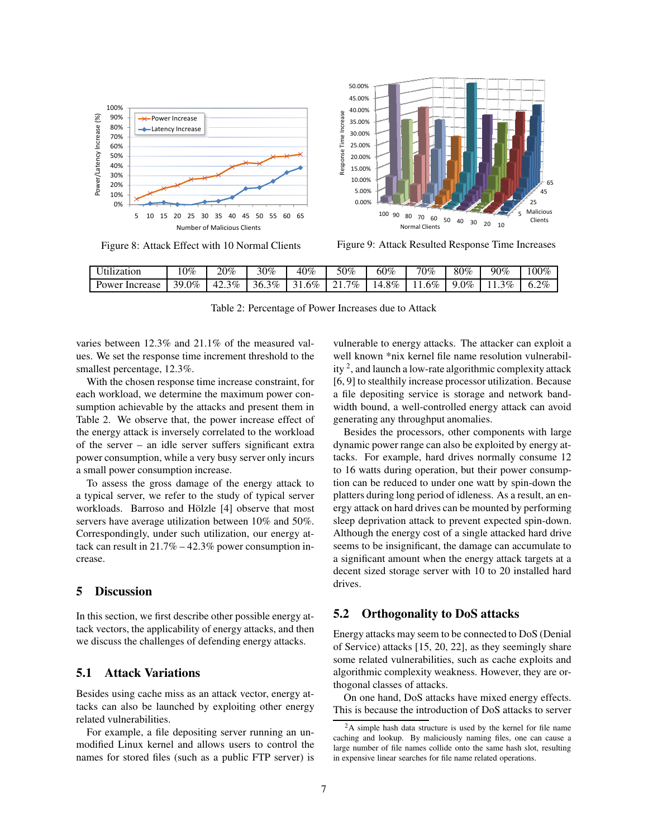

Figure 8: Attack Effect with 10 Normal Clients

Figure 9: Attack Resulted Response Time Increases

| $T$ $T$ , $T$ $T$<br>Utilization | $0\%$         | 20%                                   | 30%           | 40%                                  | 50%                | 60%     | 70%    | $80\%$  | 90%     | 00%     |
|----------------------------------|---------------|---------------------------------------|---------------|--------------------------------------|--------------------|---------|--------|---------|---------|---------|
| Power<br>Increase                | $0\%$<br>39.U | $3\%$<br>$\Delta$ <sup>2</sup><br>ن ک | $3\%$<br>36.3 | .6%<br>$\sim$<br>$\sim$ 1<br>$\cdot$ | 7%<br>$^{\circ}$ 1 | $4.8\%$ | $.6\%$ | $9.0\%$ | 3%<br>. | $6.2\%$ |

Table 2: Percentage of Power Increases due to Attack

varies between 12.3% and 21.1% of the measured values. We set the response time increment threshold to the smallest percentage, 12.3%.

With the chosen response time increase constraint, for each workload, we determine the maximum power consumption achievable by the attacks and present them in Table 2. We observe that, the power increase effect of the energy attack is inversely correlated to the workload of the server – an idle server suffers significant extra power consumption, while a very busy server only incurs a small power consumption increase.

To assess the gross damage of the energy attack to a typical server, we refer to the study of typical server workloads. Barroso and Hölzle [4] observe that most servers have average utilization between 10% and 50%. Correspondingly, under such utilization, our energy attack can result in 21.7% – 42.3% power consumption increase.

## 5 Discussion

├

In this section, we first describe other possible energy attack vectors, the applicability of energy attacks, and then we discuss the challenges of defending energy attacks.

## 5.1 Attack Variations

Besides using cache miss as an attack vector, energy attacks can also be launched by exploiting other energy related vulnerabilities.

For example, a file depositing server running an unmodified Linux kernel and allows users to control the names for stored files (such as a public FTP server) is vulnerable to energy attacks. The attacker can exploit a well known \*nix kernel file name resolution vulnerability<sup>2</sup>, and launch a low-rate algorithmic complexity attack [6, 9] to stealthily increase processor utilization. Because a file depositing service is storage and network bandwidth bound, a well-controlled energy attack can avoid generating any throughput anomalies.

Besides the processors, other components with large dynamic power range can also be exploited by energy attacks. For example, hard drives normally consume 12 to 16 watts during operation, but their power consumption can be reduced to under one watt by spin-down the platters during long period of idleness. As a result, an energy attack on hard drives can be mounted by performing sleep deprivation attack to prevent expected spin-down. Although the energy cost of a single attacked hard drive seems to be insignificant, the damage can accumulate to a significant amount when the energy attack targets at a decent sized storage server with 10 to 20 installed hard drives.

## 5.2 Orthogonality to DoS attacks

Energy attacks may seem to be connected to DoS (Denial of Service) attacks [15, 20, 22], as they seemingly share some related vulnerabilities, such as cache exploits and algorithmic complexity weakness. However, they are orthogonal classes of attacks.

On one hand, DoS attacks have mixed energy effects. This is because the introduction of DoS attacks to server

 $2A$  simple hash data structure is used by the kernel for file name caching and lookup. By maliciously naming files, one can cause a large number of file names collide onto the same hash slot, resulting in expensive linear searches for file name related operations.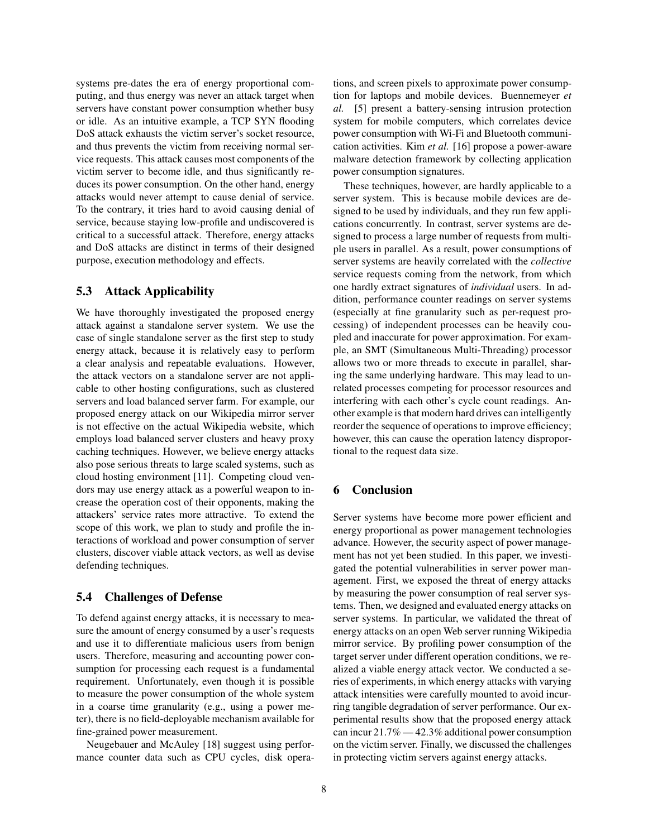systems pre-dates the era of energy proportional computing, and thus energy was never an attack target when servers have constant power consumption whether busy or idle. As an intuitive example, a TCP SYN flooding DoS attack exhausts the victim server's socket resource, and thus prevents the victim from receiving normal service requests. This attack causes most components of the victim server to become idle, and thus significantly reduces its power consumption. On the other hand, energy attacks would never attempt to cause denial of service. To the contrary, it tries hard to avoid causing denial of service, because staying low-profile and undiscovered is critical to a successful attack. Therefore, energy attacks and DoS attacks are distinct in terms of their designed purpose, execution methodology and effects.

## 5.3 Attack Applicability

We have thoroughly investigated the proposed energy attack against a standalone server system. We use the case of single standalone server as the first step to study energy attack, because it is relatively easy to perform a clear analysis and repeatable evaluations. However, the attack vectors on a standalone server are not applicable to other hosting configurations, such as clustered servers and load balanced server farm. For example, our proposed energy attack on our Wikipedia mirror server is not effective on the actual Wikipedia website, which employs load balanced server clusters and heavy proxy caching techniques. However, we believe energy attacks also pose serious threats to large scaled systems, such as cloud hosting environment [11]. Competing cloud vendors may use energy attack as a powerful weapon to increase the operation cost of their opponents, making the attackers' service rates more attractive. To extend the scope of this work, we plan to study and profile the interactions of workload and power consumption of server clusters, discover viable attack vectors, as well as devise defending techniques.

#### 5.4 Challenges of Defense

To defend against energy attacks, it is necessary to measure the amount of energy consumed by a user's requests and use it to differentiate malicious users from benign users. Therefore, measuring and accounting power consumption for processing each request is a fundamental requirement. Unfortunately, even though it is possible to measure the power consumption of the whole system in a coarse time granularity (e.g., using a power meter), there is no field-deployable mechanism available for fine-grained power measurement.

Neugebauer and McAuley [18] suggest using performance counter data such as CPU cycles, disk operations, and screen pixels to approximate power consumption for laptops and mobile devices. Buennemeyer *et* [5] present a battery-sensing intrusion protection system for mobile computers, which correlates device power consumption with Wi-Fi and Bluetooth communication activities. Kim *et al.* [16] propose a power-aware malware detection framework by collecting application power consumption signatures.

These techniques, however, are hardly applicable to a server system. This is because mobile devices are designed to be used by individuals, and they run few applications concurrently. In contrast, server systems are designed to process a large number of requests from multiple users in parallel. As a result, power consumptions of server systems are heavily correlated with the *collective* service requests coming from the network, from which one hardly extract signatures of *individual* users. In addition, performance counter readings on server systems (especially at fine granularity such as per-request processing) of independent processes can be heavily coupled and inaccurate for power approximation. For example, an SMT (Simultaneous Multi-Threading) processor allows two or more threads to execute in parallel, sharing the same underlying hardware. This may lead to unrelated processes competing for processor resources and interfering with each other's cycle count readings. Another example is that modern hard drives can intelligently reorder the sequence of operations to improve efficiency; however, this can cause the operation latency disproportional to the request data size.

## 6 Conclusion

Server systems have become more power efficient and energy proportional as power management technologies advance. However, the security aspect of power management has not yet been studied. In this paper, we investigated the potential vulnerabilities in server power management. First, we exposed the threat of energy attacks by measuring the power consumption of real server systems. Then, we designed and evaluated energy attacks on server systems. In particular, we validated the threat of energy attacks on an open Web server running Wikipedia mirror service. By profiling power consumption of the target server under different operation conditions, we realized a viable energy attack vector. We conducted a series of experiments, in which energy attacks with varying attack intensities were carefully mounted to avoid incurring tangible degradation of server performance. Our experimental results show that the proposed energy attack can incur 21.7% — 42.3% additional power consumption on the victim server. Finally, we discussed the challenges in protecting victim servers against energy attacks.